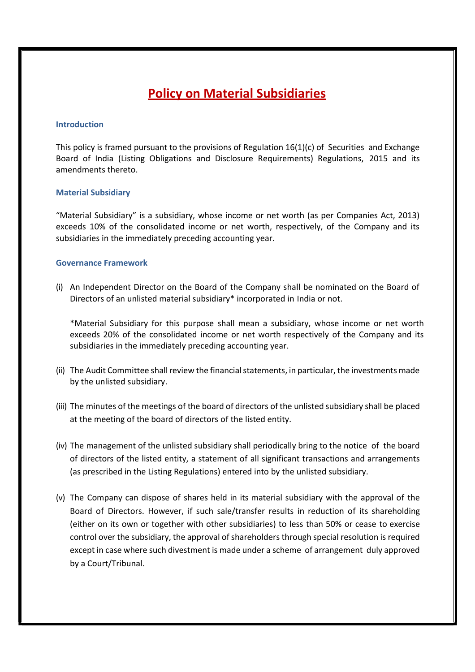# **Policy on Material Subsidiaries**

### **Introduction**

This policy is framed pursuant to the provisions of Regulation  $16(1)(c)$  of Securities and Exchange Board of India (Listing Obligations and Disclosure Requirements) Regulations, 2015 and its amendments thereto.

## **Material Subsidiary**

"Material Subsidiary" is a subsidiary, whose income or net worth (as per Companies Act, 2013) exceeds 10% of the consolidated income or net worth, respectively, of the Company and its subsidiaries in the immediately preceding accounting year.

## **Governance Framework**

(i) An Independent Director on the Board of the Company shall be nominated on the Board of Directors of an unlisted material subsidiary\* incorporated in India or not.

\*Material Subsidiary for this purpose shall mean a subsidiary, whose income or net worth exceeds 20% of the consolidated income or net worth respectively of the Company and its subsidiaries in the immediately preceding accounting year.

- (ii) The Audit Committee shall review the financial statements, in particular, the investments made by the unlisted subsidiary.
- (iii) The minutes of the meetings of the board of directors of the unlisted subsidiary shall be placed at the meeting of the board of directors of the listed entity.
- (iv) The management of the unlisted subsidiary shall periodically bring to the notice of the board of directors of the listed entity, a statement of all significant transactions and arrangements (as prescribed in the Listing Regulations) entered into by the unlisted subsidiary.
- (v) The Company can dispose of shares held in its material subsidiary with the approval of the Board of Directors. However, if such sale/transfer results in reduction of its shareholding (either on its own or together with other subsidiaries) to less than 50% or cease to exercise control over the subsidiary, the approval of shareholders through special resolution is required except in case where such divestment is made under a scheme of arrangement duly approved by a Court/Tribunal.